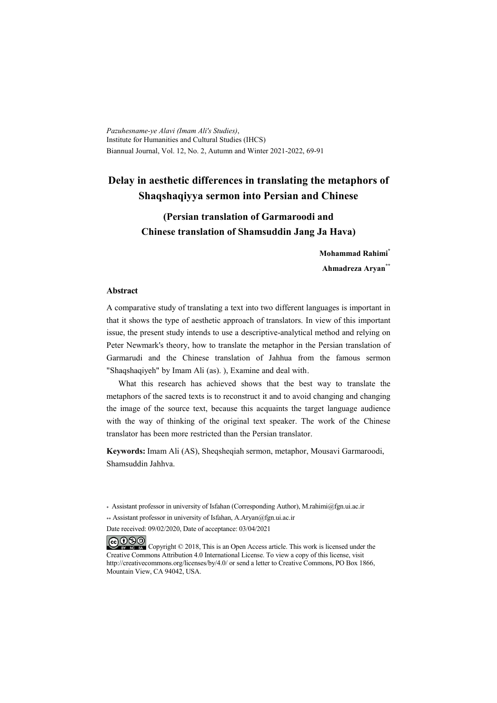*Pazuhesname-ye Alavi (Imam Ali's Studies)*, Institute for Humanities and Cultural Studies (IHCS) Biannual Journal, Vol. 12, No. 2, Autumn and Winter 2021-2022, 69-91

# **Delay in aesthetic differences in translating the metaphors of Shaqshaqiyya sermon into Persian and Chinese**

# **(Persian translation of Garmaroodi and Chinese translation of Shamsuddin Jang Ja Hava)**

**Mohammad Rahimi\* Ahmadreza Aryan\*\***

#### **Abstract**

A comparative study of translating a text into two different languages is important in that it shows the type of aesthetic approach of translators. In view of this important issue, the present study intends to use a descriptive-analytical method and relying on Peter Newmark's theory, how to translate the metaphor in the Persian translation of Garmarudi and the Chinese translation of Jahhua from the famous sermon "Shaqshaqiyeh" by Imam Ali (as). ), Examine and deal with.

What this research has achieved shows that the best way to translate the metaphors of the sacred texts is to reconstruct it and to avoid changing and changing the image of the source text, because this acquaints the target language audience with the way of thinking of the original text speaker. The work of the Chinese translator has been more restricted than the Persian translator.

**Keywords:** Imam Ali (AS), Sheqsheqiah sermon, metaphor, Mousavi Garmaroodi, Shamsuddin Jahhva.

\* Assistant professor in university of Isfahan (Corresponding Author), M.rahimi@fgn.ui.ac.ir

\*\* Assistant professor in university of Isfahan, A.Aryan@fgn.ui.ac.ir

Date received: 09/02/2020, Date of acceptance: 03/04/2021

COOO Copyright © 2018, This is an Open Access article. This work is licensed under the Creative Commons Attribution 4.0 International License. To view a copy of this license, visit http://creativecommons.org/licenses/by/4.0/ or send a letter to Creative Commons, PO Box 1866, Mountain View, CA 94042, USA.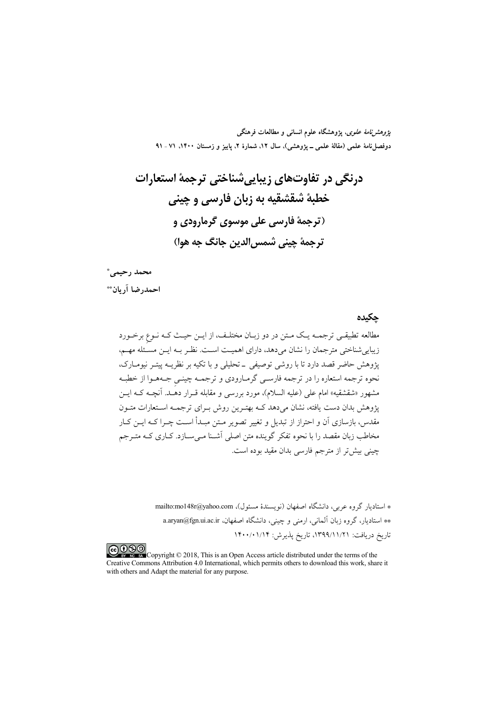*پژوهشنامهٔ علوی*، پژوهشگاه علوم انسانی و مطالعات فرهنگی دوفصلنامهٔ علمی (مقالهٔ علمی ــ پژوهشی)، سال ۱۲، شمارهٔ ۲، پاییز و زمستان ۱۴۰۰، ۷۱ ـ ۹۱

محمد رحيمي\*

احمدرضا آريان\*\*

چکیدہ

مطالعه تطبیقـی ترجمــه یـک مــتن در دو زبــان مختلـف، از ایــن حیــث کـه نــوع برخــورد زیباییشناختی مترجمان را نشان میدهد، دارای اهمیـت اسـت. نظـر بــه ایــن مسـئله مهــم، پژوهش حاضر قصد دارد تا با روشی توصیفی \_ تحلیلی و با تکیه بر نظریــه پیتــر نیومــارک، نحوه ترجمه استعاره را در ترجمه فارسـي گرمـارودی و ترجمـه چینـی جـههـوا از خطبـه مشهور «شقشقیه» امام علی (علیه السلام)، مورد بررسی و مقابله قــرار دهَــد. آنچــه کــه ایــن پژوهش بدان دست یافته، نشان میدهد کـه بهتـرین روش بـرای ترجمـه اسـتعارات متـون مقدس، بازسازی آن و احتراز از تبدیل و تغییر تصویر مـتن مبـدأ اسـت چــرا کــه ایــن کــار مخاطب زبان مقصد را با نحوه تفکر گوینده متن اصلی آشـنا مـیسـازد. کـاری کـه متـرجم چینی بیش تر از مترجم فارسی بدان مقید بوده است.

> \* استادیار گروه عربی، دانشگاه اصفهان (نویسندهٔ مسئول)، mailto:mo148r@yahoo.com \*\* استادیار، گروه زبان آلمانی، ارمنی و چینی، دانشگاه اصفهان، a.aryan@fgn.ui.ac.ir تاريخ دريافت: ١٣٩٩/١١/٢١، تاريخ پذيرش: ١۴٠٠/٠١/١۴

COOO even Copyright © 2018, This is an Open Access article distributed under the terms of the Creative Commons Attribution 4.0 International, which permits others to download this work, share it with others and Adapt the material for any purpose.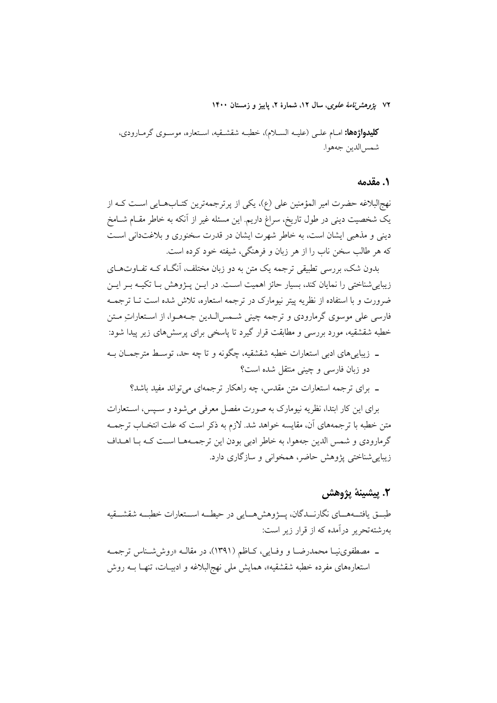۷۲ ي*ژوهشرنامهٔ علوی*، سال ۱۲، شمارهٔ ۲، پاییز و زمستان ۱۴۰۰

**كليدواژدها:** امـام علـي (عليـه السـلام)، خطبـه شقشـقيه، اسـتعاره، موسـوي گرمـارودي، شمس الدين جەھوا.

### ١. مقدمه

نهج البلاغه حضرت امیر المؤمنین علی (ع)، یکی از پرترجمهترین کتـابهـایی اسـت کـه از یک شخصیت دینی در طول تاریخ، سراغ داریم. این مسئله غیر از آنکه به خاطر مقــام شــامخ دینی و مذهبی ایشان است، به خاطر شهرت ایشان در قدرت سخنوری و بلاغتدانی است كه هر طالب سخن ناب را از هر زبان و فرهنگي، شيفته خود كرده است.

بدون شک، بررسی تطبیقی ترجمه یک متن به دو زبان مختلف، انگـاه کــه تفـاوتهـای زیباییشناختی را نمایان کند، بسیار حائز اهمیت است. در ایــن پــژوهش بـا تکیــه بــر ایــن ضرورت و با استفاده از نظریه پیتر نیومارک در ترجمه استعاره، تلاش شده است تـا ترجمــه فارسی علی موسوی گرمارودی و ترجمه چینی شـمس|لـدین جـههـوا، از اسـتعاراتِ مـتن خطبه شقشقیه، مورد بررسی و مطابقت قرار گیرد تا یاسخی برای پرسشهای زیر پیدا شود:

- ـ زیباییهای ادبی استعارات خطبه شقشقیه، چگونه و تا چه حد، توسط مترجمـان بـه دو زبان فارسی و چینی منتقل شده است؟
	- ۔ برای ترجمه استعارات متن مقدس، چه راهکار ترجمهای می تواند مفید باشد؟

برای این کار ابتدا، نظریه نیومارک به صورت مفصل معرفی می شود و سـیس، اسـتعارات متن خطبه با ترجمههای آن، مقایسه خواهد شد. لازم به ذکر است که علت انتخـاب ترجمــه گرمارودی و شمس الدین جههوا، به خاطر ادبی بودن این ترجمـهمـا اسـت کـه بـا اهــداف زیبایی شناختی پژوهش حاضر، همخوانی و سازگاری دارد.

# ٢. پيشينهٔ يژوهش

طبـــق يافتـــههــــاي نگارنـــدگان، يـــــژوهش٨هــــايي در حيطـــه اســـتعارات خطبـــه شقشـــقيه بهرشتهتحریر درآمده که از قرار زیر است:

ـ مصطفوى نيـا محمدرضـا و وفـايي، كـاظم (١٣٩١)، در مقالـه «روششـناس ترجمـه استعارههای مفرده خطبه شقشقیه»، همایش ملی نهجالبلاغه و ادبیـات، تنهـا بــه روش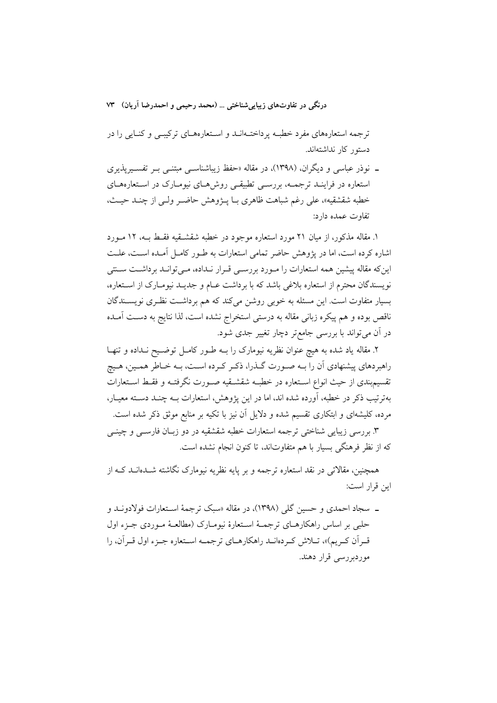ترجمه استعارههای مفرد خطبه پرداختـهانــد و اسـتعارههــای ترکیبــی و کنــایـی را در دستور کار نداشتهاند.

ـ نوذر عباسی و دیگران، (۱۳۹۸)، در مقاله «حفظ زیباشناســی مبتنــی بــر تفســیرپذیری ستعاره در فراینـد ترجمـه، بررسـی تطبیقـی روش۵مـای نیومـارک در اسـتعارههـای خطبه شقشقيه»، على رغم شباهت ظاهري بـا پــژوهش حاضــر ولــي از چنــد حيــث، تفاوت عمده دارد:

۱. مقاله مذکور، از میان ۲۱ مورد استعاره موجود در خطبه شقشـقیه فقـط بـه، ۱۲ مـورد اشاره کرده است، اما در پژوهش حاضر تمامی استعارات به طـور کامـل آمـده اسـت، علـت این که مقاله پیشین همه استعارات را مـورد بررسـی قـرار نـداده، مـی توانـد برداشـت سـنتی نویسندگان محترم از استعاره بلاغی باشد که با برداشت عـام و جدیـد نیومـارک از اسـتعاره، بسیار متفاوت است. این مسئله به خوبی روشن می کند که هم برداشت نظری نویسـندگان ناقص بوده و هم پیکره زبانی مقاله به درستی استخراج نشده است، لذا نتایج به دست آمـده در أن مي تواند با بررسي جامع تر دچار تغيير جدي شود.

۲. مقاله یاد شده به هیچ عنوان نظریه نیومارک را بـه طـور کامـل توضـیح نـداده و تنهـا راهبردهای پیشنهادی آن را بـه صـورت گـذرا، ذكـر كـرده اسـت، بـه خـاطر همـین، هـیچ تقسیم.بندی از حیث انواع اسـتعاره در خطبـه شقشـقیه صـورت نگرفتـه و فقـط اسـتعارات بهترتیب ذکر در خطبه، آورده شده اند، اما در این یژوهش، استعارات بــه چنــد دســته معیــار، مرده، کلیشهای و ابتکاری تقسیم شده و دلایل آن نیز با تکیه بر منابع موثق ذکر شده است.

۳. بررسی زیبایی شناختی ترجمه استعارات خطبه شقشقیه در دو زبـان فارســی و چینــی که از نظر فرهنگی بسیار با هم متفاوتاند، تا کنون انجام نشده است.

همچنین، مقالاتی در نقد استعاره ترجمه و بر یایه نظریه نیومارک نگاشته شــدهانــد کــه از ابن قرار است:

ـ سجاد احمدي و حسين گلي (١٣٩٨)، در مقاله «سبک ترجمهٔ اسـتعارات فولادونــد و حلبي بر اساس راهکارهــاي ترجمــهٔ اســتعارهٔ نيومــارک (مطالعــهٔ مــوردي جــزء اول قبر اَن کبریم)»، تبلاش کبردهانید راهکارهبای ترجمیه استعاره جبزء اول قبر اَن، را موردبررسی قرار دهند.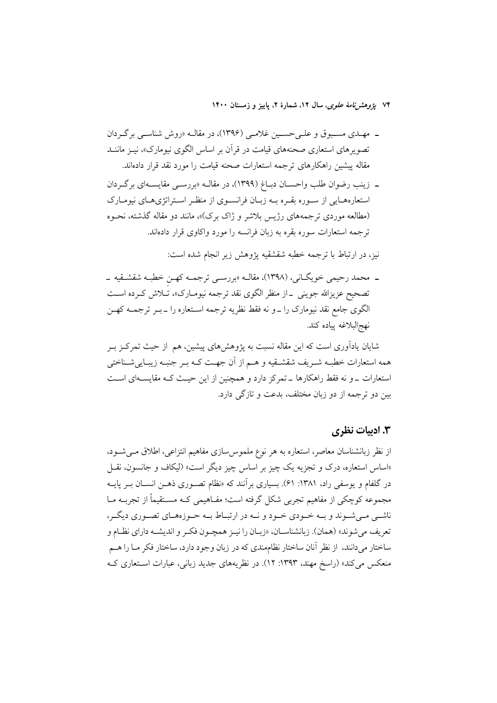۷۴ پژ*وهشرنامهٔ علوی*، سال ۱۲، شمارهٔ ۲، پاییز و زمستان ۱۴۰۰

- ـ مهـدي مسـبوق و علـيحسـين غلامـي (١٣٩۶)، در مقالـه «روش شناسـي برگـردان تصویرهای استعاری صحنههای قیامت در قرآن بر اساس الگوی نیومارک»، نیـز ماننــد مقاله پیشین راهکارهای ترجمه استعارات صحنه قیامت را مورد نقد قرار دادهاند.
- ــ زينب رضوان طلب واحســان دبــاغ (١٣٩٩)، در مقالــه «بررســي مقايســهاي برگـردان استعارههـايي از سـوره بقـره بـه زبـان فرانسـوى از منظـر اسـتراتژىهـاى نيومـارک (مطالعه موردی ترجمههای رژیس بلاشر و ژاک برک)»، مانند دو مقاله گذشته، نحـوه ترجمه استعارات سوره بقره به زبان فرانسه را مورد واكاوى قرار دادهاند.

نیز، در ارتباط با ترجمه خطبه شقشقیه پژوهش زیر انجام شده است:

ـ محمد رحیمی خویگـانی، (۱۳۹۸)، مقالــه «بررســی ترجمــه کهــن خطبــه شقشــقیه ــ تصحیح عزیزالله جوینی <sub>–</sub>از منظر الگوی نقد ترجمه نیومـارک»، تــلاش کــرده اســت الگوی جامع نقد نیومارک را ــ و نه فقط نظریه ترجمه اســتعاره را ــ بــر ترجمــه کهــن نهج|لبلاغه پياده كند.

شایان یادآوری است که این مقاله نسبت به پژوهشهای پیشین، هم از حیث تمرکـز بـر همه استعارات خطبـه شـريف شقشـقيه و هــم از آن جهــت كــه بــر جنبــه زيبــاييشــناختـي استعارات \_و نه فقط راهکارها \_تمرکز دارد و همچنین از این حیث کـه مقایسـهای اسـت بین دو ترجمه از دو زبان مختلف، بدعت و تازگی دارد.

# **۳. ادبیات نظری**

از نظر زبانشناسان معاصر، استعاره به هر نوع ملموس سازى مفاهيم انتزاعى، اطلاق مىي شود، «اساس استعاره، درک و تجزیه یک چیز بر اساس چیز دیگر است» (لیکاف و جانسون، نقـل در گلفام و یوسفی راد. ۱۳۸۱: ۶۱). بسیاری برآنند که «نظام تصـوری ذهــز انســان بــر پایــه مجموعه کوچکی از مفاهیم تجربی شکل گرفته است؛ مفـاهیمی کـه مســتقیماً از تجربــه مــا ناشــي مــي شــوند و بــه خــودي خــود و نــه در ارتبــاط بــه حــوزههــاي تصــوري ديگــر، تعريف مي شوند» (همان). زبانشناسـان، «زبـان را نيـز همچـون فكـر و انديشـه داراي نظـام و ساختار میدانند، از نظر آنان ساختار نظاممندی که در زبان وجود دارد، ساختار فکر مـا را هــم منعکس میکند» (راسخ مهند، ۱۳۹۳: ۱۲). در نظریههای جدید زبانی، عبارات استعاری کـه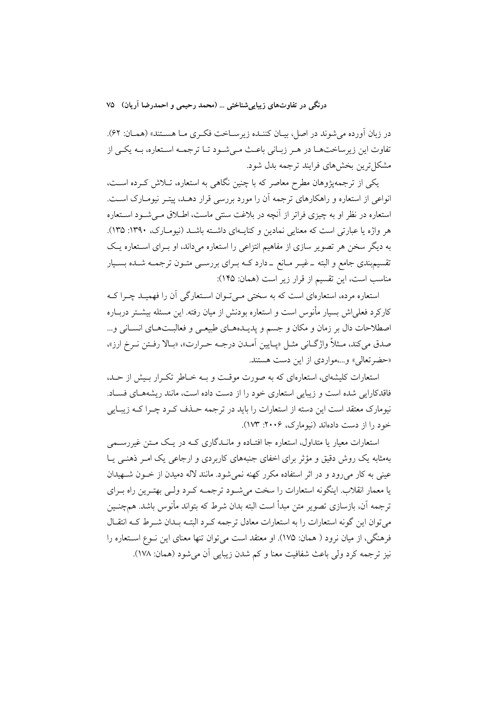در زبان أورده مي شوند در اصل، بيـان كننـده زيرسـاخت فكـرى مـا هسـتند» (همـان: ۶۲). تفاوت این زیر ساختهـا در هـر زبـانی باعـث مـی شـود تـا ترجمـه اسـتعاره، بـه یکـی از مشکل ترین بخشهای فرایند ترجمه بدل شود.

یکی از ترجمه یژوهان مطرح معاصر که با چنین نگاهی به استعاره، تـلاش کـرده اسـت، انواعی از استعاره و راهکارهای ترجمه آن را مورد بررسی قرار دهـد، پیتـر نیومـارک اسـت. استعاره در نظر او به چیزی فراتر از آنچه در بلاغت سنتی ماست، اطـلاق مـی شـود اسـتعاره هر واژه یا عبارتی است که معنایی نمادین و کنایـهای داشـته باشـد (نیومـارک، ۱۳۹۰: ۱۳۵). به دیگر سخن هر تصویر سازی از مفاهیم انتزاعی را استعاره میداند، او بـرای اسـتعاره یـک تقسیم بندی جامع و البته ــ غیــر مــانع ــ دارد کــه بــرای بررســی متــون ترجمــه شــده بســیار مناسب است، این تقسیم از قرار زیر است (همان: ۱۴۵):

استعاره مرده، استعارهای است که به سختی مـی تـوان اسـتعارگی آن را فهمیـد چـرا کـه كاركرد فعلىاش بسيار مأنوس است و استعاره بودنش از ميان رفته. اين مسئله بيشــتر دربــاره اصطلاحات دال بر زمان و مکان و جسم و پدیــدهــای طبیعــی و فعالبــتهــای انســانی و... صدق مي كند، مـثلاً واژگـاني مثـل «پـايين أمـدن درجـه حـرارت»، «بـالا رفـتن نـرخ ارز»، «حضرتعالي» و...،مواردي از اين دست هستند.

استعارات کلیشهای، استعارهای که به صورت موقت و بـه خـاطر تکـرار بـیش از حـد، فاقدکارایی شده است و زیبایی استعاری خود را از دست داده است، مانند ریشههـای فسـاد. نیومارک معتقد است این دسته از استعارات را باید در ترجمه حـذف کـرد چـرا کــه زیبـایی خود را از دست دادهاند (نیومارک، ۲۰۰۶: ۱۷۳).

استعارات معیار یا متداول، استعاره جا افتـاده و مانــدگاری کــه در یــک مــتن غیررســمی بهمثابه یک روش دقیق و مؤثر برای اخفای جنبههای کاربردی و ارجاعی یک امـر ذهنـی یـا عینی به کار میرود و در اثر استفاده مکرر کهنه نمی شود. مانند لاله دمیدن از خــون شــهیدان یا معمار انقلاب. اینگونه استعارات را سخت می شـود ترجمـه کـرد ولـی بهتـرین راه بـرای ترجمه آن، بازسازی تصویر متن مبدأ است البته بدان شرط که بتواند مأنوس باشد. همچنــین می توان این گونه استعارات را به استعارات معادل ترجمه کـرد البتـه بـدان شـرط کـه انتقـال فرهنگی، از میان نرود ( همان: ۱۷۵). او معتقد است می توان تنها معنای این نـوع اسـتعاره را نيز ترجمه كرد ولي باعث شفافيت معنا و كم شدن زيبايي أن مي شود (همان: ١٧٨).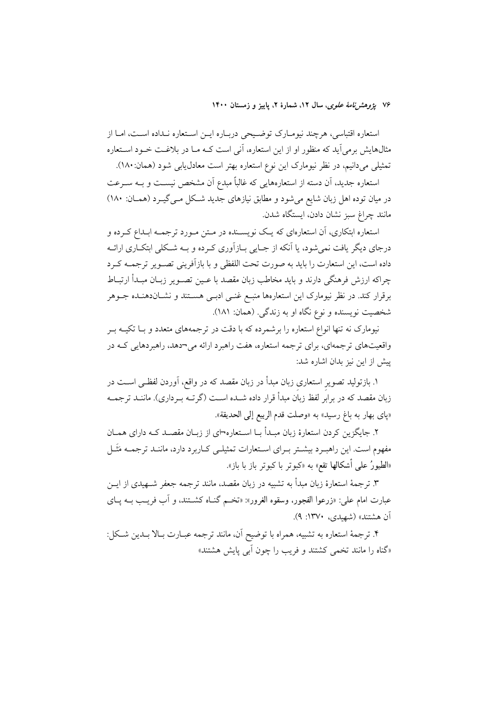۷۶ ي*ژوهشرنامهٔ علوی*، سال ۱۲، شمارهٔ ۲، پاييز و زمستان ۱۴۰۰

استعاره اقتباسی، هرچند نیومـارک توضـیحی دربـاره ایـن اسـتعاره نـداده اسـت، امـا از مثالهایش برمی آید که منظور او از این استعاره، آنی است کـه مـا در بلاغـت خـود اسـتعاره تمثیلی میدانیم، در نظر نیومارک این نوع استعاره بهتر است معادل یابی شود (همان: ۱۸۰).

استعاره جدید، آن دسته از استعارههایی که غالباً مبدع آن مشخص نیسـت و بـه سـرعت در میان توده اهل زبان شایع میشود و مطابق نیازهای جدید شـکل مـیگیــرد (همــان: ۱۸۰) مانند چراغ سبز نشان دادن، ايستگاه شدن.

استعاره ابتکاری، آن استعارهای که یـک نویســنده در مـتن مـورد ترجمــه ابــداع کــرده و درجای دیگر یافت نمیشود، یا آنکه از جـایی بـازآوری کـرده و بـه شـکلی ابتکـاری ارائـه داده است، این استعارت را باید به صورت تحت اللفظی و با بازآفرینی تصـویر ترجمــه کـرد چراکه ارزش فرهنگی دارند و باید مخاطب زبان مقصد با عــین تصــویر زبــان مبــدأ ارتبــاط برقرار کند. در نظر نیومارک این استعارهها منبـع غنـی ادبـی هســتند و نشــاندهنــده جــوهر شخصیت نویسنده و نوع نگاه او به زندگی. (همان: ۱۸۱).

نیومارک نه تنها انواع استعاره را برشمرده که با دقت در ترجمههای متعدد و بـا تکیــه بــر واقعیتهای ترجمهای، برای ترجمه استعاره، هفت راهبرد ارائه می¬دهد، راهبردهایی کـه در پیش از این نیز بدان اشاره شد:

۱. بازتولید تصویر استعاری زبان مبدأ در زبان مقصد که در واقع، آوردن لفظـی اســت در زبان مقصد که در برابر لفظ زبان مبدأ قرار داده شــده اســت (گرتــه بــرداری). ماننــد ترجمــه «ياي بهار به باغ رسيد» به «وصلت قدم الربيع إلى الحديقة».

۲. جایگزین کردن استعارهٔ زبان مبـدأ بـا اسـتعاره¬ای از زبـان مقصـد کـه دارای همـان مفهوم است. این راهبـرد بیشـتر بـرای اسـتعارات تمثیلـی کـاربرد دارد، ماننـد ترجمـه مَثَـل «الطيورُ على أشكالها تقع» به «كبوتر با كبوتر باز با باز».

۳. ترجمهٔ استعارهٔ زبان مبدأ به تشبیه در زبان مقصد، مانند ترجمه جعفر شــهیدی از ایــن عبارت امام علي: «زرعوا الفجور، وسقوه الغرور»: «تخـم گنــاه كشــتند، و آب فريـب بــه يــاي آن هشتند» (شهیدی، ۱۳۷۰: ۹).

۴. ترجمهٔ استعاره به تشبیه، همراه با توضیح آن، مانند ترجمه عبـارت بـالا بـدین شـکل: «گناه را مانند تخمی کشتند و فریب را چون ابی پایش هشتند»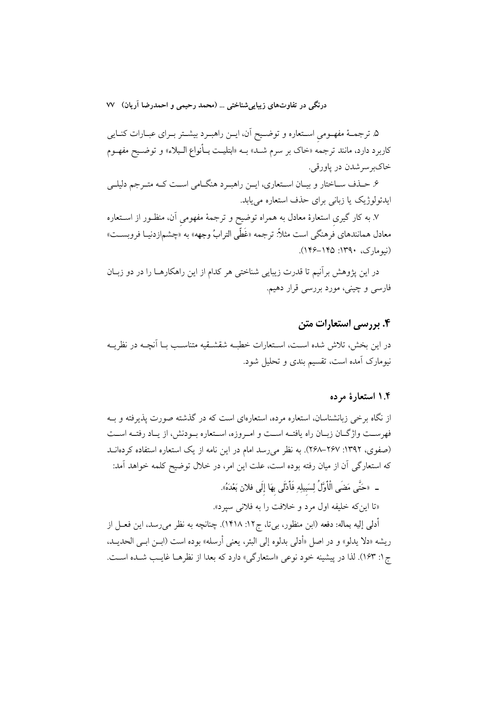۵. ترجمـهٔ مفهـومی اسـتعاره و توضـيح آن، ايـن راهبـرد بيشـتر بـراي عبـارات كنـايي کاربرد دارد، مانند ترجمه «خاک بر سرم شـد» بــه «ابتلیــت بــأنواع الــبلاء» و توضــیح مفهــوم خاکېږسرشدن در ياورقي.

۶. حـذف ســاختار و بيــان اســتعارى، ايــن راهبــرد هنگــامى اســت كــه متــرجم دليلــي ایدئولوژیک یا زبانی برای حذف استعاره می یابد.

۷. به کار گیری استعارهٔ معادل به همراه توضیح و ترجمهٔ مفهومی آن، منظـور از اســتعاره معادل همانندهاي فرهنگي است مثلاً: ترجمه «غَطِّي الترابُ وجهه» به «چشم|زدنيـا فروبســت» (نیومارک، ۱۳۹۰: ۱۴۵–۱۴۶).

در این پژوهش برآنیم تا قدرت زیبایی شناختی هر کدام از این راهکارهـا را در دو زبــان فارسی و چینی، مورد بررسی قرار دهیم.

# ۴. بررسی استعارات متن

در این بخش، تلاش شده اسـت، اسـتعارات خطبـه شقشـقیه متناسـب بـا آنچــه در نظریــه .<br>نیومارک آمده است، تقسیم بندی و تحلیل شود.

### ۱.۴ استعارهٔ مرده

از نگاه برخی زبانشناسان، استعاره مرده، استعارهای است که در گذشته صورت پذیرفته و بـه فهرست واژگـان زبـان راه يافتــه اسـت و امـروزه، اسـتعاره بــودنش، از يــاد رفتــه اسـت (صفوی، ۱۳۹۲: ۲۶۷–۲۶۸). به نظر می رسد امام در این نامه از یک استعاره استفاده کردهانـد كه استعارگي آن از ميان رفته بوده است، علت اين امر، در خلال توضيح كلمه خواهد آمد:

\_ «حَتَّى مَضَى الْأَوَّلُ لِسَبِيلِهِ فَأَدْلَى بِهَا إِلَى فلان بَعْدَهُ».

«تا اين كه خليفه اول مرد و خلافت را به فلاني سيرد».

أدلى إليه بماله: دفعه (ابن منظور، بي تا، ج١٢: ١٤١٨). چنانچه به نظر مي رسد، اين فعــل از ريشه «دلا يدلو» و در اصل «أدلى بدلوه إلى البئر، يعني أرسله» بوده است (ابــن ابــي الحديــد، ج ۱: ۱۶۳). لذا در پیشینه خود نوعی «استعارگی» دارد که بعدا از نظرهـا غایـب شـده اسـت.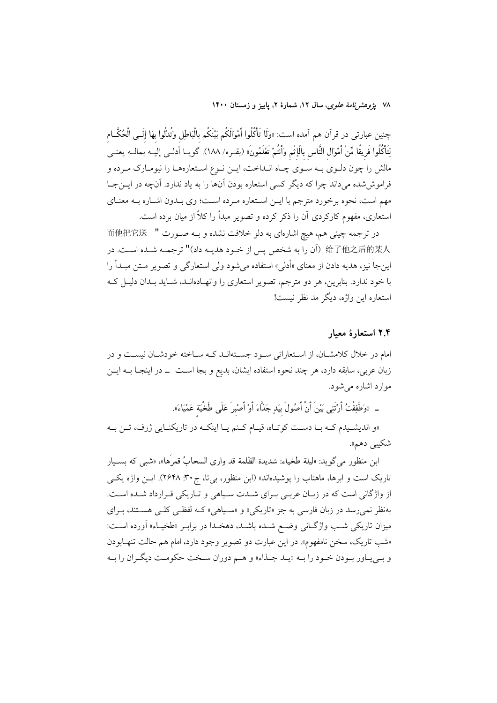۷۸ ي*ژوهشرنامهٔ علوی*، سال ۱۲، شمارهٔ ۲، پاييز و زمستان ۱۴۰۰

چنین عبارت<sub>ی</sub> در قرآن هم اَمده است: «وَلَا تَأْكُلُوا أَمْوَالَكُم بَيْنَكُم بالْبَاطِل وَتُدْلُوا بِهَا إلَــى الْحُكَّــام لِتَأْكُلُوا فَرِيقًا مِّنْ أَمْوَال النَّاس بِالْإِثْمِ وَأَنتُمْ تَعْلَمُونَ» (بقـره/ ١٨٨). گويــا أدلــى إليــه بمالــه يعنــى مالش را چون دلـوي بـه سـوي چـاه انـداخت، ايـن نـوع اسـتعارههـا را نيومـارک مـرده و فراموششده میداند چرا که دیگر کسی استعاره بودن آنها را به یاد ندارد. آنچه در ایــنجـا مهم است، نحوه برخورد مترجم با ايـن اسـتعاره مـرده اسـت؛ وي بـدون اشـاره بـه معنـاي استعاری، مفهوم کارکردی آن را ذکر کرده و تصویر مبدأ را کلاً از میان برده است.

در ترجمه چینی هم، هیچ اشارهای به دلو خلافت نشده و بـه صـورت " 而他把它送 给了他之后的某人 (أن را به شخص يس از خـود هديـه داد)" ترجمـه شـده اسـت. در اینجا نیز، هدیه دادن از معنای «أدلی» استفاده میشود ولی استعارگی و تصویر مــتن مبــدأ را با خود ندارد. بنابرین، هر دو مترجم، تصویر استعاری را وانهـادهانــد، شــاید بــدان دلیــل کــه استعاره اين واژه، ديگر مد نظر نيست!

#### ۲.۴ استعارهٔ معیار

امام در خلال کلامشـان، از اسـتعاراتي سـود جسـتهانـد کـه سـاخته خودشـان نيسـت و در زبان عربی، سابقه دارد، هر چند نحوه استفاده ایشان، بدیع و بجا اســت ــ در اینجــا بــه ایــن موارد اشاره می شود.

ـ «وَطَفِقْتُ أَرْتَتِي بَيْنَ أَنْ أَصُولَ بيَدٍ جَذَّاءَ أَوْ أَصْبرَ عَلَى طَخْيَة عَمْيَاءَ».

«و اندیشیدم کـه بـا دسـت کوتـاه، قیـام کـنم یـا اینکـه در تاریکنـایی ژرف، تـن بـه شكيبي دهم».

ابن منظور مي گويد: «ليلة طخياء: شديدة الظلمة قد وارى السحابُ قمرُها»، «شبي كه بسـيار تاریک است و ابرها، ماهتاب را یوشیدهاند» (ابن منظور، بی تا، ج ۳۰. ۲۶۴۸). ایس واژه یکسی از واژگانی است که در زبـان عربـی بـرای شـدت سـیاهی و تـاریکی قـرارداد شـده اسـت. بهنظر نمي رسد در زبان فارسي به جز «تاريكي» و «سـياهي» كــه لفظــي كلــي هســتند، بــراي ميزان تاريكي شب واژگاني وضع شـده باشـد، دهخـدا در برابـر «طخيـاء» أورده اسـت: «شب تاریک، سخن نامفهوم». در این عبارت دو تصویر وجود دارد، امام هم حالت تنهـابودن و بـي\_اور بـودن خـود را بــه «يــد جــذاء» و هــم دوران ســخت حكومــت ديگــران را بــه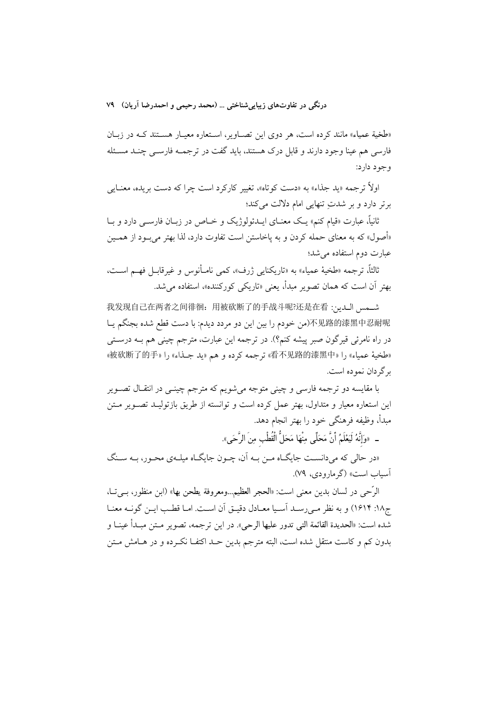«طخية عمياء» مانند كرده است، هر دوى اين تصاوير، استعاره معيـار هسـتند كـه در زبـان فارسی هم عبنا وجود دارند و قابل درک هستند، باید گفت در ترجمـه فارسـی چنـد مسـئله وجود دارد:

اولاً ترجمه «ید جذاء» به «دست کوتاه»، تغییر کارکرد است چرا که دست بریده، معنـایی برتر دارد و بر شدتِ تنهایی امام دلالت میکند؛

ثانياً، عبارت «قيام كنم» يـك معنــاي ايــدئولوژيک و خــاص در زبــان فارســي دارد و بــا «أصول» که به معنای حمله کردن و به پاخاستن است تفاوت دارد، لذا بهتر می ٍود از همــین عبارت دوم استفاده می شد؛

ثالثاً، ترجمه «طخيهٔ عمياء» به «تاريكنايي ژرف»، كمي نامـأنوس و غيرقابـل فهــم اسـت، بهتر اَن است که همان تصویر مبدأ، یعنی «تاریکی کورکننده»، استفاده می شد.

تشمس الدن: 我发现自己在两者之间徘徊: 用被砍断了的手战斗呢?还是在看: 不见路的漆黑中忍耐呢(من خودم را بين اين دو مردد ديدم: با دست قطع شده بجنگم يـا در راه نامرئی قیرگون صبر پیشه کنم؟). در ترجمه این عبارت، مترجم چینی هم بــه درســتی «طخية عمياء» را «看不见路的漆黑中» ترجمه كرده و هم «يد جـذاء» را «被砍断了的手» بر گردان نموده است.

با مقايسه دو ترجمه فارسي و چينې متوجه مي شويم كه مترجم چينــې در انتقــال تصــوير این استعاره معیار و متداول، بهتر عمل کرده است و توانسته از طریق بازتولیـد تصـویر مـتن مبدأ، وظيفه فرهنگى خود را بهتر انجام دهد.

\_ «وَإِنَّهُ لَيَعْلَمُ أَنَّ مَحَلِّي مِنْهَا مَحَلُّ الْقُطْبِ مِنَ الرَّحَى».

«در حالی که می دانسـت جایگــاه مــن بــه اَن، چــون جایگــاه میلــهی محـور، بــه ســنگ آسیاب است» (گرمارودی، ۷۹).

الرَّحي در لسان بدين معنى است: «الحجر العظيم...ومعروفة يطحن بها» (ابن منظور، بـيتـا، ج١٨: ١٤١٤) و به نظر مي رسـد أسـيا معـادل دقيـق أن اسـت. امـا قطـب ايـن گونــه معنـا شده است: «الحديدة القائمة التي تدور عليها الرحي». در اين ترجمه، تصوير مـتن مبـدأ عينــا و بدون کم و کاست منتقل شده است، البته مترجم بدین حـد اکتفـا نکـرده و در هـامش مـتن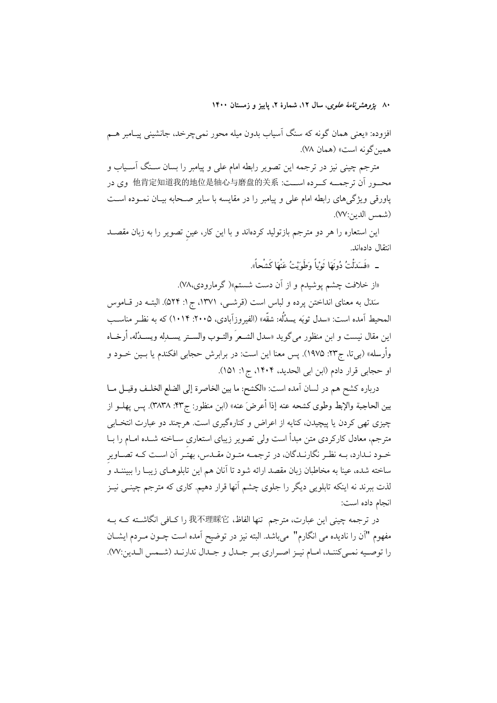۸۰ یژ*وهش نامهٔ علوی*، سال ۱۲، شمارهٔ ۲، پاییز و زمستان ۱۴۰۰

افزوده: «يعني همان گونه كه سنگ اَسياب بدون ميله محور نميچرخد، جانشيني پيــامبر هــم همين گونه است» (همان ٧٨).

مترجم چینی نیز در ترجمه این تصویر رابطه امام علی و پیامبر را بسان سـنگ آسـیاب و محـور اَن ترجمــه كــرده اســت: 他肯定知道我的地位是轴心与磨盘的关系 وى در پاورقی ویژگیهای رابطه امام علی و پیامبر را در مقایسه با سایر صـحابه بیـان نمـوده اسـت (شمس الدين:٧٧).

این استعاره را هر دو مترجم بازتولید کردهاند و با این کار، عین تصویر را به زبان مقصـد انتقال دادماند.

\_ «فَسَدَلْتُ دُونَهَا ثَوْباً وَطَوَيْتُ عَنْهَا كَشْحاً».

«از خلافت چشم پوشیدم و از آن دست شستم»( گرمارودی،۷۸).

سَدَل به معنای انداختن پرده و لباس است (قرشــی، ۱۳۷۱، ج۱: ۵۲۴). البتــه در قــاموس المحيط آمده است: «سدل ثوبَه يسدُلُه: شقَّه» (الفيروزآبادي، ٢٠٠۵: ١٠١۴) كه به نظـر مناســب اين مقال نيست و ابن منظور ميگويد «سدل الشـعرَ والشـوب والســتر يســدلِه ويســدُله، أرخــاه وأرسله» (بي تا، ج٢٣: ١٩٧۵). يس معنا اين است: در برابرش حجابي افكندم يا بــين خــود و او حجابي قرار دادم (ابن ابي الحديد، ١٤٠۴، ج١: ١٥١).

درباره كشح هم در لسان آمده است: «الكشح: ما بين الخاصرة إلى الضلع الخلـف وقيـل مــا بين الحاجبة والإبط وطوى كشحه عنه إذا أعرضَ عنه» (ابن منظور: ج٣٣. ٣٨٣٨). يس يهلــو از چیزی تھی کردن یا پیچیدن، کنایه از اعراض و کنارهگیری است. هرچند دو عبارت انتخـابی مترجم، معادل کارکردی متن مبدأ است ولی تصویر زیبای استعاری ســاخته شــده امــام را بــا خـود نـدارد، بـه نظـر نگارنـدگان، در ترجمـه متـون مقـدس، بهتـر آن اسـت كـه تصـاوير ساخته شده، عینا به مخاطبان زبان مقصد ارائه شود تا آنان هم این تابلوهــای زیبــا را ببیننــد و لذت ببرند نه اینکه تابلویی دیگر را جلوی چشم آنها قرار دهیم. کاری که مترجم چینــی نیــز انجام داده است:

در ترجمه چینی این عبارت، مترجم تنها الفاظ، 我不理睬它 را کـافی انگاشـته کـه بـه مفهوم "آن را ناديده مي انگارم" ميباشد. البته نيز در توضيح آمده است چــون مــردم ايشــان را توصـيه نمـيكننـد، امـام نيـز اصـراري بـر جـدل و جـدال ندارنـد (شـمس الـدين:٧٧).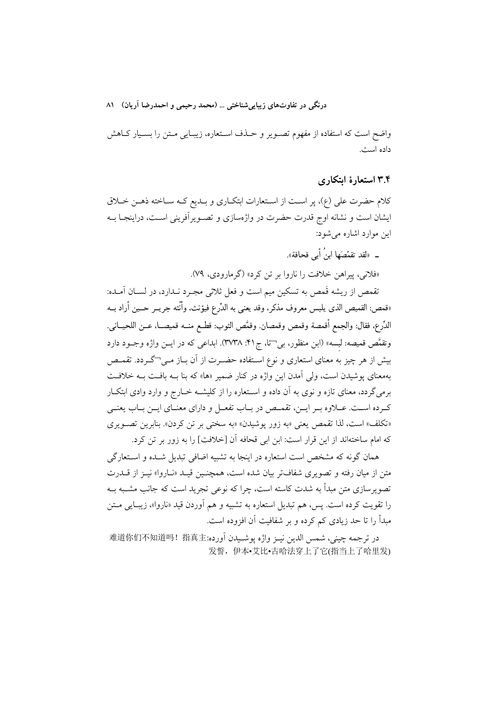واضح است كه استفاده از مفهوم تصـوير و حـذف اسـتعاره، زيبـايي مـتن را بسـيار كـاهش داده است.

# ۳.۴ استعارهٔ ابتکاری

كلام حضرت على (ع)، پر است از استعارات ابتكـاري و بـديع كـه سـاخته ذهـن خـلاق ایشان است و نشانه اوج قدرت حضرت در واژهسازی و تصـویرآفرینی اسـت، دراینجـا بــه این موارد اشاره می شود:

ــ «لقد تقمَّصَها ابنُ أَبِي قحافة».

«فلاني، پيراهن خلافت را ناروا بر تن کرد» (گرمارودي، ۷۹).

تقمص از ریشه قَمص به تسکین میم است و فعل ثلاثی مجـرد نـدارد، در لســان آمــده: «قمص: القميص الذي يلبس معروف مذكر، وقد يعني به الدِّرع فيؤنث، وأنَّثه جريــر حــين أراد بــه الدِّرع، فقال: والجمع أقمصة وقمص وقمصان. وقمَّص الثوب: قطــع منــه قميصــا، عــن اللحيــاني. وتقمَّص قميصه: لبسه» (ابن منظور، بي تا، ج ۴۱: ٣٧٣٨). ابداعي كه در ايــن واژه وجــود دارد بیش از هر چیز به معنای استعاری و نوع اسـتفاده حضـرت از آن بــاز مــی¬گــردد. تقمــص بهمعنای پوشیدن است، ول<sub>ی</sub> آمدن این واژه در کنار ضمیر «ها» که بنا بــه بافــت بــه خلافــت برمی گردد، معنای تازه و نوی به آن داده و اسـتعاره را از کلیشــه خــارج و وارد وادی ابتکــار كـرده اســت. عــلاوه بــر ايــن، تقمــص در بــاب تفعــل و داراي معنــاي ايــن بــاب يعنــي «تكلف» است، لذا تقمص يعني «به زور يوشيدن» «به سختي بر تن كردن». بنابرين تصـويري كه امام ساختهاند از اين قرار است: ابن ابي قحافه آن [خلافت] را به زور بر تن كرد.

همان گونه که مشخص است استعاره در اینجا به تشبیه اضافی تبدیل شــده و اســتعارگی متن از میان رفته و تصویری شفافتر بیان شده است، همچنـین قیـد «نـاروا» نیـز از قــدرت تصویرسازی متن مبدأ به شدت کاسته است، چرا که نوعی تجرید است که جانب مشـبه بــه را تقويت كرده است. پس، هم تبديل استعاره به تشبيه و هم آوردن قيد «ناروا»، زيبـايي مــتن مبدأ را تا حد زیادی کم کرده و بر شفافیت آن افزوده است.

در ترجمه چيني، شمس الدين نيـز واژه پوشـيدن اَورده:难道你们不知道吗!指真主 发誓, 伊本•艾比•古哈法穿上了它(指当上了哈里发)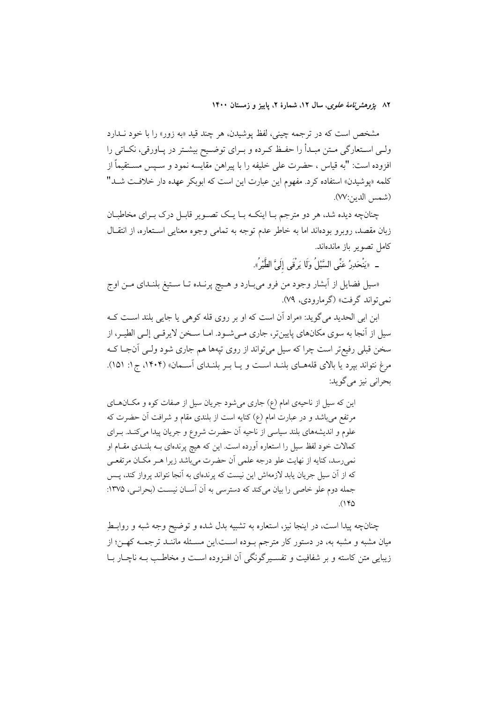۸۲ ي*ژوهشرنامهٔ علوی*، سال ۱۲، شمارهٔ ۲، پاییز و زمستان ۱۴۰۰

مشخص است که در ترجمه چینی، لفظ پوشیدن، هر چند قید «به زور» را با خود نــدارد ولـی اسـتعارگی مـتن مبـدأ را حفـظ کـرده و بـرای توضـیح بیشـتر در یـاورقی، نکـاتی را افزوده است: "به قياس ، حضرت على خليفه را با پيراهن مقايسه نمود و سـپس مســتقيماً از کلمه «پوشیدن» استفاده کرد. مفهوم این عبارت این است که ابوبکر عهده دار خلافت شــد" (شمس الدين:٧٧).

چنانچه دیده شد، هر دو مترجم بـا اینکـه بـا یـک تصـویر قابـل درک بـرای مخاطبـان زبان مقصد، روبرو بودهاند اما به خاطر عدم توجه به تمامی وجوه معنایی اسـتعاره، از انتقــال كامل تصوير باز ماندهاند.

ـ «يَنْحَدِرُ عَنِّي السَّيْلُ وَلَا يَرْقَى إِلَيَّ الطَّيْرُ».

«سیل فضایل از اَبشار وجود من فرو میبـارد و هـیچ پرنــده تــا سـتیغ بلنــدای مــن اوج نمي تواند گرفت» (گرمارودي، ۷۹).

ابن ابي الحديد مي گويد: «مراد أن است كه او بر روي قله كوهي يا جايي بلند است كـه سیل از آنجا به سوی مکانهای پایینتر، جاری مـی شـود. امـا سـخن لایرقـی إلـی الطیـر، از سخن قبلی رفیع تر است چرا که سیل میتواند از روی تپهها هم جاری شود ولـی آنجـا کـه مرغ نتواند بیرد یا بالای قلههـای بلنـد اسـت و یـا بـر بلنـدای آسـمان» (۱۴۰۴، ج۱: ۱۵۱). بحراني نيز مي گويد:

این که سیل از ناحیهی امام (ع) جاری میشود جریان سیل از صفات کوه و مکـانهـای مرتفع می باشد و در عبارت امام (ع) کنایه است از بلندی مقام و شرافت آن حضرت که علوم و اندیشههای بلند سیاسی از ناحیه آن حضرت شروع و جریان پیدا میکنـد. بـرای کمالات خود لفظ سیل را استعاره آورده است. این که هیچ پرندهای بـه بلنــدی مقــام او نمي رسد، كنايه از نهايت علو درجه علمي آن حضرت مي باشد زيرا هــر مكــان مرتفعــي که از آن سیل جریان یابد لازمهاش این نیست که پرندهای به آنجا نتواند پرواز کند، پــس جمله دوم علو خاصی را بیان میکند که دسترسی به آن آسان نیست (بحرانبی، ۱۳۷۵:  $(140)$ 

چنانچه پیدا است، در اینجا نیز، استعاره به تشبیه بدل شده و توضیح وجه شبه و روابـط میان مشبه و مشبه به، در دستور کار مترجم بوده است.این مسـئله ماننـد ترجمـه کهـن؛ از زیبایی متن کاسته و بر شفافیت و تفسیر گونگی آن افـزوده اسـت و مخاطـب بـه ناچــار بــا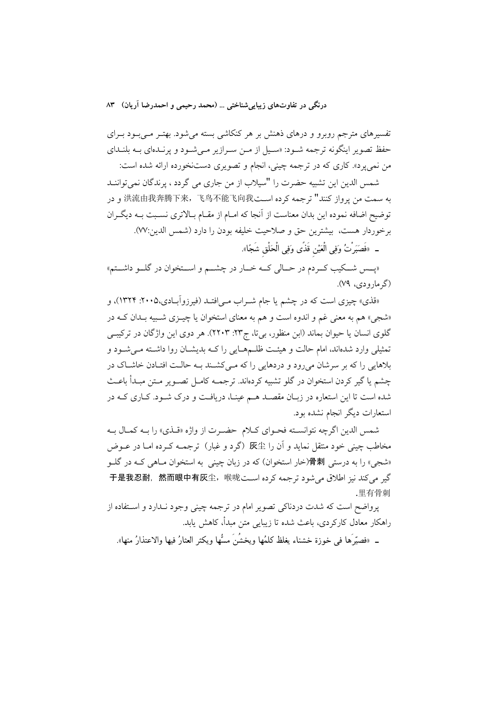تفسیرهای مترجم روبرو و درهای ذهنش بر هر کنکاشی بسته میشود. بهتـر مـیبـود بـرای حفظ تصویر اینگونه ترجمه شـود: «سـیل از مـن سـرازیر مـی شـود و پرنـدهای بـه بلنـدای من نمی پرد». کاری که در ترجمه چینی، انجام و تصویری دستنخورده ارائه شده است:

شمس الدين اين تشبيه حضرت را "سيلاب از من جاري مي گردد ، پرندگان نمي تواننـد به سمت من يرواز كنند" ترجمه كرده اسـت洪流由我奔腾下来,飞鸟不能飞向我 و در توضیح اضافه نموده این بدان معناست از آنجا که امـام از مقـام بـالاتری نسـبت بــه دیگـران برخوردار هست، بيشترين حق و صلاحيت خليفه بودن را دارد (شمس الدين:٧٧).

\_ «فَصَبَرْتُ وَفِي الْعَيْنِ قَذًى وَفِي الْحَلْقِ شَجًا».

«پــس شــكيب كــردم در حــالى كــه خــار در چشـــم و اســتخوان در گلــو داشــتم» (گرمارودی، ۷۹).

«قذي» چيزي است كه در چشم يا جام شــراب مــي(فتــد (فيرزوآبــادي،٢٠٠۵: ١٣٢۴)، و «شجي» هم به معنى غم و اندوه است و هم به معناى استخوان يا چيـزى شـبيه بـدان كـه در گلوی انسان یا حیوان بماند (ابن منظور، بی تا، ج۲۳: ۲۲۰۳). هر دوی این واژگان در ترکیبی تمثیلی وارد شدهاند، امام حالت و هیئت ظلـمهـایی را کـه بدیشـان روا داشـته مـیشـود و بلاهایی را که بر سرشان میرود و دردهایی را که مـی کشـند بـه حالـت افتـادن خاشـاک در چشم یا گیر کردن استخوان در گلو تشبیه کردهاند. ترجمــه کامــل تصــو یر مــتن مبــدأ باعــث شده است تا این استعاره در زبـان مقصـد هــم عینـا، دریافـت و درک شــود. کــاری کــه در استعارات دیگر انجام نشده بود.

شمس الدين اگرچه نتوانسته فحـواي كـلام حضـرت از واژه «قـذي» را بـه كمـال بـه مخاطب چینی خود منتقل نماید و آن را 灰尘 (گرد و غبار) ترجمـه کـرده امـا در عــوض «شجی» را به درستی 骨刺(خار استخوان) که در زبان چینی به استخوان مـاهی کـه در گلـو كير مي كند نيز اطلاق مي شود ترجمه كرده است 于是我忍耐,然而眼中有灰尘,喉咙 里有骨刺

یرواضح است که شدت دردناکی تصویر امام در ترجمه چینی وجود نـدارد و اسـتفاده از راهکار معادل کارکردی، باعث شده تا زیبایی متن مبدأ، کاهش یابد.

\_ «فصدِّ ها فير خوزة خشناء بغلظ كلمُها ويخشُنَ مسُّها ويكثر العثارُ فيها والاعتذارُ منها».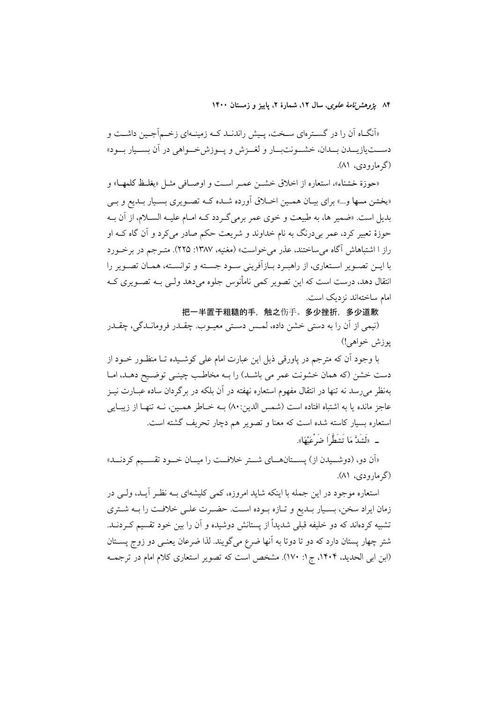۸۴ ی*ژوهشرنامهٔ علوی*، سال ۱۲، شمارهٔ ۲، پاییز و زمستان ۱۴۰۰

«اَنگـاه اَن را در گســترِهاي ســخت، پــيش راندنــد كــه زمينــهاي زخــماًجــين داشــت و دســـتيازيـــدن بــدان، خشــونتبــار و لغــزش و پــوزش خــواهي در آن بســيار بــود» (گر مارو دی، ۸۱).

«حوزة خشناء»، استعاره از اخلاق خشــن عمـر اسـت و اوصــافي مثــل «يغلــظ كلمهــا» و «یخشن مسها و…» برای بیـان همـین اخـلاق اَورده شـده کـه تصـویری بسـیار بـدیع و بـی بدیل است. «ضمیر ها، به طبیعت و خوی عمر برمی گـردد کــه امــام علیــه الســلام، از آن بــه حوزهٔ تعبیر کرد، عمر بیٖدرنگ به نام خداوند و شریعت حکم صادر میٖکرد و اَن گاه کـه او راز ا اشتباهاش آگاه می ساختند، عذر می خواست» (مغنیه، ۱۳۸۷: ۲۲۵). متـرجم در برخـورد با ايــن تصــوير اســتعارى، از راهبــرد بــازآفريني ســود جســته و توانســته، همــان تصــوير را انتقال دهد، درست است که این تصویر کمی نامأنوس جلوه میدهد ولـی بــه تصــویری کــه امام ساختهاند نزدیک است.

把一半置于粗糙的手, 触之伤手。多少挫折, 多少道歉

(نیمی از آن را به دستی خشن داده، لمــس دســتی معیــوب. چقــدر فرومانــدگی، چقــدر يوزش خواهي!)

با وجود آن که مترجم در پاورقی ذیل این عبارت امام علی کوشـیده تـا منظـور خــود از دست خشن (كه همان خشونت عمر مي باشـد) را بـه مخاطـب چينـي توضـيح دهـد، امـا بهنظر میرسد نه تنها در انتقال مفهوم استعاره نهفته در آن بلکه در برگردان ساده عبــارت نیــز عاجز مانده يا به اشتباه افتاده است (شمس الدين:٨٠) بــه خــاطر همــين، نــه تنهـا از زيبــايي استعاره بسیار کاسته شده است که معنا و تصویر هم دچار تحریف گشته است.

«اَن دو، (دوشــيدن از) يســتانهــاي شــتر خلافــت را ميــان خــود تقســيم كردنــد» (گر مارودی، ۸۱).

استعاره موجود در این جمله با اینکه شاید امروزه، کمی کلیشهای بــه نظـر آیــد، ولــی در زمان ایراد سخن، بسـیار بـدیع و تـازه بـوده اسـت. حضـرت علـی خلافـت را بـه شـتری تشبیه کردهاند که دو خلیفه قبلی شدیداً از پستانش دوشیده و آن را بین خود تقسیم کـردنــد. شتر چهار پستان دارد که دو تا دوتا به آنها ضرع میگویند. لذا ضرعان یعنـی دو زوج پســتان (ابن ابی الحدید، ۱۴۰۴، ج۱: ۱۷۰). مشخص است که تصویر استعاری کلام امام در ترجمـه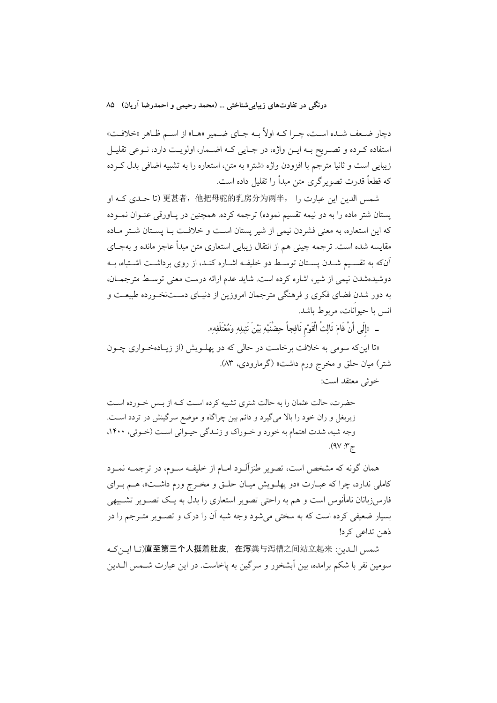دچار ضعف شـده اسـت، چـرا كــه اولاً بــه جـاي ضــمير «هــا» از اســم ظـاهر «خلافـت» استفاده کـرده و تصـریح بــه ایــن واژه، در جــایی کــه اضــمار، اولویــت دارد، نــوعی تقلیــل زيبايي است و ثانيا مترجم با افزودن واژه «شتر» به متن، استعاره را به تشبيه اضافي بدل كرده که قطعاً قدرت تصویر گری متن مبدأ را تقلیل داده است.

شمس الدین این عبارت را ,更甚者,他把母驼的乳房分为两半, (تا حـدی کـه او يستان شتر ماده را به دو نيمه تقسيم نموده) ترجمه كرده. همچنين در يـاورقى عنـوان نمـوده که این استعاره، به معنی فشردن نیمی از شیر یستان است و خلافت بـا یســتان شــتر مــاده مقايسه شده است. ترجمه چينې هم از انتقال زيبايي استعاري متن مبدأ عاجز مانده و بهجــاي آنکه به تقسـیم شـدن پســتان توسـط دو خلیفـه اشــاره کنــد، از روی برداشــت اشــتباه، بــه دوشیدهشدن نیمی از شیر، اشاره کرده است. شاید عدم ارائه درست معنی توسیط مترجمیان، به دور شدن فضای فکری و فرهنگی مترجمان امروزین از دنیـای دسـتنخـورده طبیعـت و انس با حیوانات، مربوط باشد.

\_ «إِلَى أَنْ قَامَ ثَالِثُ الْقَوْمِ نَافِجاً حِضْنَيْهِ بَيْنَ نَثِيلِهِ وَمُعْتَلَفِهِ».

«تا این که سومی به خلافت برخاست در حال<sub>ی</sub> که دو پهلـویش (از زیـادهخـواری چـون شتر) میان حلق و مخرج ورم داشت» (گرمارودی، ۸۳). خوئے معتقد است:

حضرت، حالت عثمان را به حالت شتری تشبیه کرده اسـت کـه از بـس خـورده اسـت زیربغل و ران خود را بالا میگیرد و دائم بین چراگاه و موضع سرگینش در تردد است. وجه شبه، شدت اهتمام به خورد و خـوراک و زنـدگی حیـوانی اسـت (خـوئی، ۱۴۰۰، ج۳: ۹۷).

همان گونه که مشخص است، تصویر طنزآلـود امـام از خلیفـه ســوم، در ترجمــه نمــود کاملی ندارد، چرا که عبـارت «دو پهلــویش میـان حلــق و مخــرج ورم داشــت»، هــم بــرای فارس(زبانان نامأنوس است و هم به راحتی تصویر استعاری را بدل به یـک تصــویر تشــبیهی بسیار ضعیفی کرده است که به سختی می شود وجه شبه آن را درک و تصـویر متـرجم را در ذهن تداعی کرد!

شمس الدين: 直至第三个人挺着肚皮,在泻粪与泻槽之间站立起来(اين)直至第三个人挺着肚皮,在泻粪与泻槽之间站立起来 سومین نفر با شکم برامده، بین اَبشخور و سرگین به پاخاست. در این عبارت شــمس الــدین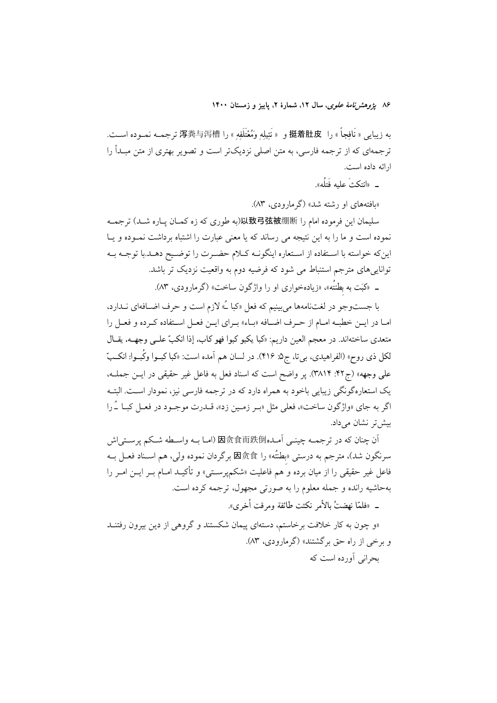۸۶ يژوهشرنامهٔ *علوی*، سال ۱۲، شمارهٔ ۲، پاييز و زمستان ۱۴۰۰

به زيبايي « نَافِجاً » را 挺着肚皮 و « نَثِيلِهِ وَمُعْتَلَفِهِ » را 泻粪与泻槽 ترجمــه نمــوده اســت. ترجمهای که از ترجمه فارسی، به متن اصلی نزدیکتر است و تصویر بهتری از متن مبــدأ را ارائه داده است.

\_ «انتكثَ عليه فَتلُه».

«بافتههای او رشته شد» (گرمارودی، ۸۳).

سليمان اين فرموده امام را 以致弓弦被绷断ا(به طوري كه زه كمـان يـاره شـد) ترجمــه نموده است و ما را به این نتیجه می رساند که یا معنی عبارت را اشتباه برداشت نمـوده و یــا این که خواسته با استفاده از استعاره اینگونـه کـلام حضـرت را توضـیح دهـد.با توجـه بـه تواناییهای مترجم استنباط می شود که فرضیه دوم به واقعیت نزدیک تر باشد.

ـ «کَبَت به بطنتُه»، «زیادهخواری او را واژگون ساخت» (گرمارودی، ۸۳).

با جستوجو در لغتنامهها مي بينيم كه فعل «كبا ـُ» لازم است و حرف اضــافهاي نــدارد، امـا در ايــن خطبــه امــام از حــرف اضــافه «بــاء» بــراي ايــن فعــل اســتفاده كــرده و فعــل را متعدي ساختهاند. در معجم العين داريم: «كبا يكبو كبوا فهو كاب، إذا انكبّ علــي وجهــه، يقــال لکل ذی روح» (الفراهیدی، بیتا، ج۵: ۴۱۶). در لسان هم اَمده است: «کبا کبــوا وکُبــوا: انکــبّ علمي وجهه» (ج۴۲: ۳۸۱۴). پر واضح است که اسناد فعل به فاعل غیر حقیقی در ایــن جملــه، یک استعاره گونگی زیبایی باخود به همراه دارد که در ترجمه فارسی نیز، نمودار است. البتـه اگر به جای «واژگون ساخت»، فعلی مثل «بـر زمـین زد»، قــدرت موجــود در فعــل کبــا ـُـرا بیش تر نشان مے داد.

أن چنان كه در ترجمــه چينــي أمــده內食而跌倒(امــا بــه واســطه شــكم يرســتي|ش سرنگون شد)، مترجم به درستی «بطتُه» را 因贪食 برگردان نموده ولی، هم اســناد فعــل بــه فاعل غیر حقیقی را از میان برده و هم فاعلیت «شکمپرسـتی» و تأکیــد امــام بــر ایــن امــر را بهحاشیه رانده و جمله معلوم را به صورتی مجهول، ترجمه کرده است. \_ «فلمّا نهضتُ بالأمر نكثت طائفة ومرقت أخرى».

«و چون به کار خلافت برخاستم، دستهای پیمان شکستند و گروهی از دین بیرون رفتنــد و برخی از راه حق برگشتند» (گرمارودی، ۸۳). بجرانی آورده است که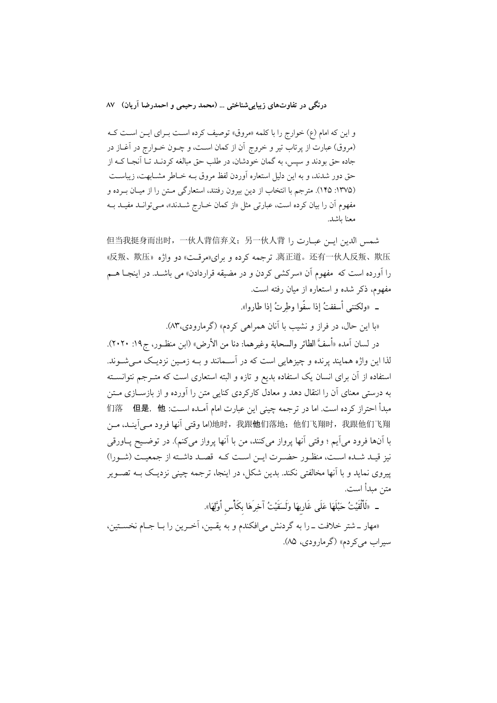و این که امام (ع) خوارج را با کلمه «مروق» توصیف کرده است بـرای ایـن اسـت کـه (مروق) عبارت از پرتاب تیر و خروج آن از کمان است، و چــون خــوارج در آغــاز در جاده حق بودند و سیس، به گمان خودشان، در طلب حق مبالغه کردنــد تــا آنجــا کــه از حق دور شدند، و به این دلیل استعاره آوردن لفظ مروق بـه خـاطر مشـابهت، زیباسـت (١٣٧۵: ١۴۵). مترجم با انتخاب از دين بيرون رفتند، استعاركي متن را از ميان بـرده و مفهوم آن را بیان کرده است، عبارتی مثل «از کمان خـارج شــدند»، مـی توانــد مفیــد بــه معنا ىاشد.

但当我挺身而出时,一伙人背信弃义;另一伙人背 الحين اين عبارت را 應叛、欺压» دو واژه «反叛、欺压». ترجمه كرده و براي هرقـت» دو واژه «反叛、欺压 را اَورده است که مفهوم اَن «سرکشی کردن و در مضیقه قراردادن» می باشــد. در اینجــا هــم .<br>مفهوم، ذکر شده و استعاره از میان رفته است.

\_ «ولكننب أسففتُ إذا سفَّوا وطرتُ إذا طاروا».

«با این حال، در فراز و نشیب با آنان همراهی کردم» (گرمارودی،۸۳).

در لسان آمده «أسفَّ الطائر والسحابة وغيرهما: دنا من الأرض» (ابن منظـور، ج١٩: ٢٠٢٠). لذا این واژه همایند پرنده و چیزهایی است که در آسـمانند و بــه زمـین نزدیـک مــی شــوند. استفاده از آن برای انسان یک استفاده بدیع و تازه و البته استعاری است که متـرجم نتوانسـته به درستی معنای آن را انتقال دهد و معادل کارکردی کنایی متن را آورده و از بازســازی مــتن مبدأ احتراز كرده است. اما در ترجمه چيني اين عبارت امام آمـده اســت: 们落 但是,他 地时,我跟他们落地;他们飞翔时,我跟了。 وقتى أنها فرود مـي أينـد، مـن() الله إنها فرود مـي با آنها فرود می]یم ؛ وقتی آنها پرواز میکنند، من با آنها پرواز میکنم). در توضـیح پـاورقی نيز قيـد شـده اسـت، منظـور حضـرت ايـن اسـت كـه قصـد داشـته از جمعيـت (شـورا) پیروی نماید و یا آنها مخالفتی نکند. بدین شکل، در اینجا، ترجمه چینی نزدیک بـه تصـویر متن مبدأ است.

ـ «لَالْقَيْتُ حَبْلَهَا عَلَى غَارِبِهَا وَلَسَقَيْتُ آخِرَهَا بِكَأْسِ أَوَّلِهَا».

«مهار \_ شتر خلافت \_ را به گردنش می|فکندم و به یقـین، آخـرین را بــا جــام نخســتین، سيراب مي كردم» (گرمارودي، ٨۵).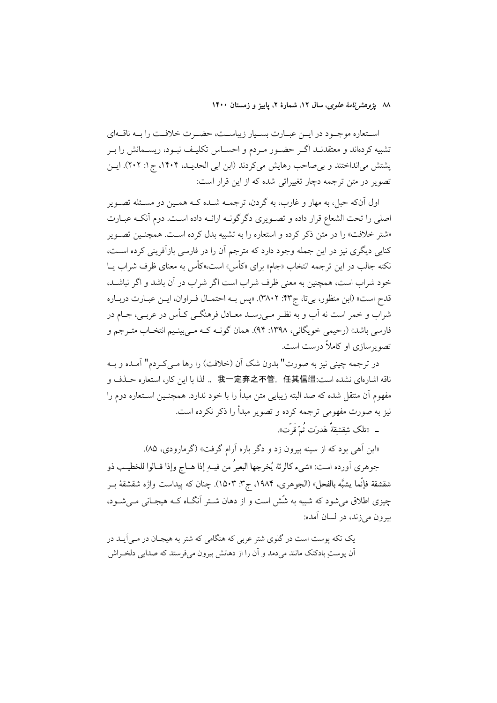٨٨ يژوهشرنامهٔ علوی، سال ١٢، شمارهٔ ٢، ياييز و زمستان ١۴٠٠

استعاره موجـود در ايـن عبـارت بسـيار زيباسـت، حضـرت خلافـت را بـه ناقـهاي تشبیه کردهاند و معتقدنـد اگـر حضـور مـردم و احسـاس تکلیـف نبـود، ریسـمانش را بـر پشتش می انداختند و بی صاحب رهایش میکردند (ابن ابی الحدیـد، ۱۴۰۴، ج۱: ۲۰۲). ایــن تصویر در متن ترجمه دچار تغییراتی شده که از این قرار است:

اول آنکه حبل، به مهار و غارب، به گردن، ترجمــه شــده کــه همــین دو مسـئله تصــویر اصلي را تحت الشعاع قرار داده و تصـويري دگرگونـه ارائـه داده اسـت. دوم آنكـه عبـارت «شتر خلافت» را در متن ذکر کرده و استعاره را به تشبیه بدل کرده است. همچنـین تصـویر کنایی دیگری نیز در این جمله وجود دارد که مترجم آن را در فارسی بازآفرینی کرده است، نکته جالب در این ترجمه انتخاب «جام» برای «کأس» است،«کأس به معنای ظرف شراب یــا خود شراب است، همچنین به معنی ظرف شراب است اگر شراب در آن باشد و اگر نباشـد، قدح است» (ابن منظور، بي تا، ج۴۳: ٣٨٠٢). «يس بـه احتمـال فـراوان، ايــن عبـارت دربـاره شراب و خمر است نه آب و به نظـر مـي(سـد معــادل فرهنگــي كــأس در عربــي، جــام در فارسي باشد» (رحيمي خويگاني، ١٣٩٨: ٩۴). همان گونـه کـه مـي بينـيم انتخـاب متـرجم و تصویر سازی او کاملاً درست است.

در ترجمه چینی نیز به صورت" بدون شک آن (خلافت) را رها مـی کـردم" آمــده و بــه ناقه اشارهاي نشده است:我一定弃之不管,任其信缰 .. لذا با اين كار، استعاره حـذف و مفهوم اَن منتقل شده که صد البته زیبایی متن مبدأ را با خود ندارد. همچنـین اســتعاره دوم را نیز به صورت مفهومی ترجمه کرده و تصویر مبدأ را ذکر نکرده است.

ــ «تلک شقشقةُ هَدرَت ثُمّ قَرّت».

«این اَهی بود که از سینه بیرون زد و دگر باره اَرام گرفت» (گرمارودی، ۸۵).

جوهري أورده است: «شيء كالرئة يُخرجها البعيرُ من فيــهِ إذا هــاج وإذا قــالوا للخطيـب ذو شقشقة فإنَّما يشبَّه بالفحل» (الجوهري، ١٩٨۴، ج٣: ١۵٠٣). چنان كه پيداست واژه شقشقهٔ بــر چیزی اطلاق می شود که شبیه به شُش است و از دهان شـتر آنگــاه کــه هیجـانی مــی شــود، بیرون می زند، در لسان آمده:

یک تکه پوست است در گلوی شتر عربی که هنگامی که شتر به هیجـان در مـی آیــد در آن پوستِ بادکنک مانند میِ دمد و آن را از دهانش بیرون میفرستد که صدایی دلخـراش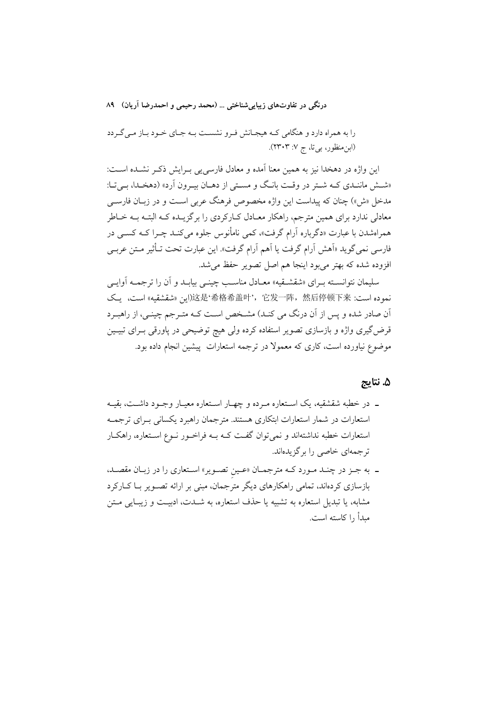را به همراه دارد و هنگامی کـه هیجـانش فـرو نشسـت بـه جـای خـود بـاز مـی گـردد (ابنِ منظور، بی تا، ج ۷: ۲۳۰۳).

این واژه در دهخدا نیز به همین معنا آمده و معادل فارسی یی بـرایش ذکـر نشــده اســت: «شش ماننـدي كـه شـتر در وقـت بانـگ و مسـتى از دهـان بيـرون آرد» (دهخـدا، بـيتـا: مدخل «ش») چنان که پیداست این واژه مخصوص فرهنگ عربی است و در زبـان فارســی معادلی ندارد برای همین مترجم، راهکار معـادل کــارکردی را برگزیــده کــه البتــه بــه خــاطر همراهشدن با عبارت «دگرباره آرام گرفت»، کمی نامأنوس جلوه می کنـد چـرا کـه کسـبی در فارسی نمیگوید «اَهش اَرام گرفت یا اَهم اَرام گرفت». این عبارت تحت تـأثیر مـتن عربـی افزوده شده كه بهتر مىبود اينجا هم اصل تصوير حفظ مى شد.

سلیمان نتوانسـته بـرای «شقشـقیه» معـادل مناسـب چینـی بیابـد و آن را ترجمـه آوایـی نموده است، يك 这是'希格希盖叶',它发一阵,然后停顿下来(أين «شقشقيه) است، يك اّن صادر شده و پس از اّن درنگ می کنـد) مشـخص اسـت کـه متـرجم چینـی، از راهبـرد قرض گیری واژه و بازسازی تصویر استفاده کرده ولی هیچ توضیحی در پاورقی بـرای تبیــین موضوع نیاورده است، کاری که معمولا در ترجمه استعارات پیشین انجام داده بود.

### ۵. نتايج

- ـ در خطبه شقشقیه، یک اسـتعاره مـرده و چهـار اسـتعاره معیـار وجـود داشـت، بقیـه استعارات در شمار استعارات ابتکاری هستند. مترجمان راهبرد یکسانی بـرای ترجمـه استعارات خطبه نداشتهاند و نمیتوان گفت کـه بـه فراخـور نـوع اسـتعاره، راهکـار ترجمهای خاصی را برگزیدهاند.
- ـ به جـز در چنـد مـورد كـه مترجمـان «عـين تصـوير» اسـتعارى را در زبـان مقصـد، بازسازی کردهاند، تمامی راهکارهای دیگر مترجمان، مبنی بر ارائه تصـویر بـا کــارکرد مشابه، یا تبدیل استعاره به تشبیه یا حذف استعاره، به شــدت، ادبیــت و زیبــایی مــتن مبدأ , ا كاسته است.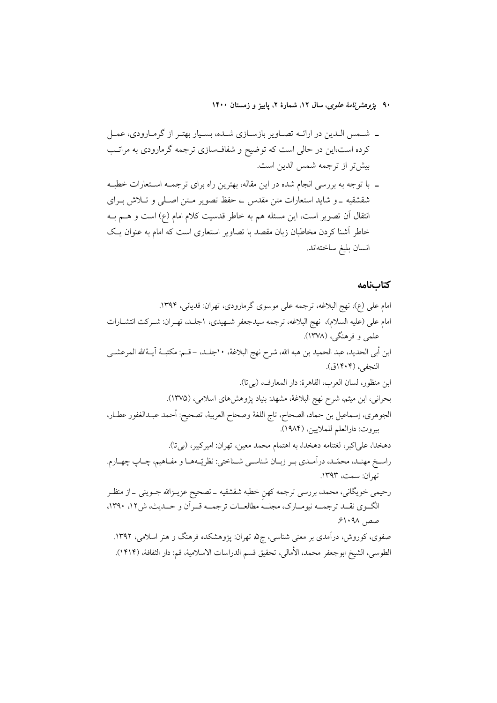۹۰ پژ*وهش نامهٔ علوی*، سال ۱۲، شمارهٔ ۲، پاییز و زمستان ۱۴۰۰

- ـ شـمس الـدين در ارائــه تصــاوير بازســازي شــده، بسـيار بهتـر از گرمـارودي، عمــل کرده است،این در حالی است که توضیح و شفافسازی ترجمه گرمارودی به مراتب بيشتر از ترجمه شمس الدين است.
- ـ با توجه به بررسی انجام شده در این مقاله، بهترین راه برای ترجمــه اســتعارات خطبــه شقشقیه \_و شاید استعارات متن مقدس \_ حفظ تصویر مـتن اصـلـی و تــلاش بــرای انتقال آن تصویر است، این مسئله هم به خاطر قدسیت کلام امام (ع) است و هــم بــه خاطر آشنا کردن مخاطبان زبان مقصد با تصاویر استعاری است که امام به عنوان یـک انسان بليغ ساختهاند.

# كتابنامه